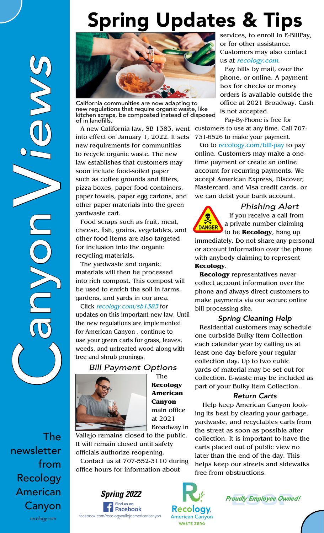# Spring Updates & Tips



California communities are now adapting to new regulations that require organic waste, like kitchen scraps, be composted instead of disposed of in landfills.

into effect on January 1, 2022. It sets new requirements for communities to recycle organic waste. The new law establishes that customers may soon include food-soiled paper such as coffee grounds and filters, pizza boxes, paper food containers, paper towels, paper egg cartons, and other paper materials into the green yardwaste cart.

Food scraps such as fruit, meat, cheese, fish, grains, vegetables, and other food items are also targeted for inclusion into the organic recycling materials.

The yardwaste and organic materials will then be processed into rich compost. This compost will be used to enrich the soil in farms, gardens, and yards in our area.

Click recology.com/sb1383 for updates on this important new law. Until the new regulations are implemented for American Canyon , continue to use your green carts for grass, leaves, weeds, and untreated wood along with tree and shrub prunings.

*Bill Payment Options*



The **Recology American Canyon** main office at 2021 Broadway in

Vallejo remains closed to the public. It will remain closed until safety officials authorize reopening.

Contact us at 707-552-3110 during office hours for information about



services, to enroll in E-BillPay, or for other assistance. Customers may also contact us at recology.com.

Pay bills by mail, over the phone, or online. A payment box for checks or money orders is available outside the office at 2021 Broadway. Cash is not accepted.

A new California law, SB 1383, went customers to use at any time. Call 707- Pay-By-Phone is free for 731-6526 to make your payment.

> Go to recology.com/bill-pay to pay online. Customers may make a onetime payment or create an online account for recurring payments. We accept American Express, Discover, Mastercard, and Visa credit cards, or we can debit your bank account.



## *Phishing Alert*

If you receive a call from a private number claiming to be **Recology**, hang up

immediately. Do not share any personal or account information over the phone with anybody claiming to represent **Recology**.

**Recology** representatives never collect account information over the phone and always direct customers to make payments via our secure online bill processing site.

### *Spring Cleaning Help*

Residential customers may schedule one curbside Bulky Item Collection each calendar year by calling us at least one day before your regular collection day. Up to two cubic yards of material may be set out for collection. E-waste may be included as part of your Bulky Item Collection.

#### *Return Carts*

Help keep American Canyon looking its best by clearing your garbage, yardwaste, and recyclables carts from the street as soon as possible after collection. It is important to have the carts placed out of public view no later than the end of the day. This helps keep our streets and sidewalks free from obstructions.





The newsletter from Recology American Canyon *recology.com*

 $\bigcirc$ 

V

anyon *iews*

OVC